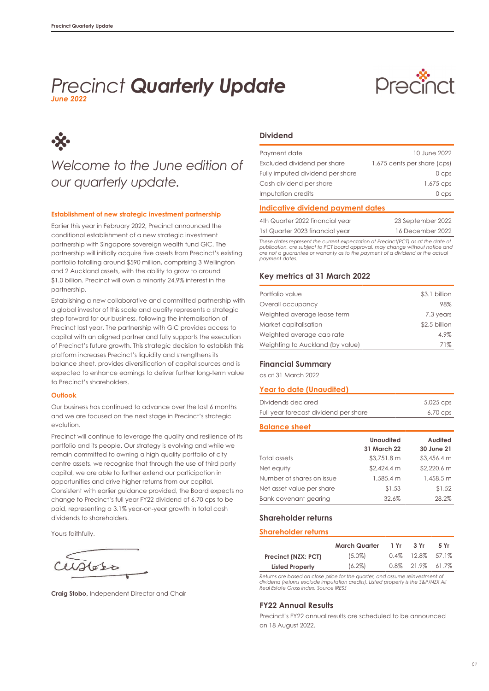### *June 2022 Precinct Quarterly Update*





## *Welcome to the June edition of our quarterly update.*

#### **Establishment of new strategic investment partnership**

Earlier this year in February 2022, Precinct announced the conditional establishment of a new strategic investment partnership with Singapore sovereign wealth fund GIC. The partnership will initially acquire five assets from Precinct's existing portfolio totalling around \$590 million, comprising 3 Wellington and 2 Auckland assets, with the ability to grow to around \$1.0 billion. Precinct will own a minority 24.9% interest in the partnership.

Establishing a new collaborative and committed partnership with a global investor of this scale and quality represents a strategic step forward for our business, following the internalisation of Precinct last year. The partnership with GIC provides access to capital with an aligned partner and fully supports the execution of Precinct's future growth. This strategic decision to establish this platform increases Precinct's liquidity and strengthens its balance sheet, provides diversification of capital sources and is expected to enhance earnings to deliver further long-term value to Precinct's shareholders.

#### **Outlook**

Our business has continued to advance over the last 6 months and we are focused on the next stage in Precinct's strategic evolution.

Precinct will continue to leverage the quality and resilience of its portfolio and its people. Our strategy is evolving and while we remain committed to owning a high quality portfolio of city centre assets, we recognise that through the use of third party capital, we are able to further extend our participation in opportunities and drive higher returns from our capital. Consistent with earlier guidance provided, the Board expects no change to Precinct's full year FY22 dividend of 6.70 cps to be paid, representing a 3.1% year-on-year growth in total cash dividends to shareholders.

Yours faithfully,

WHeter

**Craig Stobo,** Independent Director and Chair

#### **Dividend**

| Payment date                     | 10 June 2022                |
|----------------------------------|-----------------------------|
| Excluded dividend per share      | 1.675 cents per share (cps) |
| Fully imputed dividend per share | 0 <sub>cos</sub>            |
| Cash dividend per share          | 1.675 cps                   |
| Imputation credits               | 0 <sub>cos</sub>            |

#### **Indicative dividend payment dates**

| 4th Quarter 2022 financial year | 23 September 2022 |
|---------------------------------|-------------------|
| 1st Quarter 2023 financial year | 16 December 2022  |

*These dates represent the current expectation of Precinct(PCT) as at the date of publication, are subject to PCT board approval, may change without notice and are not a guarantee or warranty as to the payment of a dividend or the actual payment dates.*

#### **Key metrics at 31 March 2022**

| Portfolio value                  | \$3.1 billion |
|----------------------------------|---------------|
| Overall occupancy                | 98%           |
| Weighted average lease term      | 7.3 years     |
| Market capitalisation            | \$2.5 billion |
| Weighted average cap rate        | 4.9%          |
| Weighting to Auckland (by value) | 71%           |

#### **Financial Summary**

as at 31 March 2022

#### **Year to date (Unaudited)**

| Dividends declared                    | 5.025 cps  |
|---------------------------------------|------------|
| Full year forecast dividend per share | $6.70$ cps |

#### **Balance sheet**

|                              | <b>Unaudited</b><br>31 March 22 | <b>Audited</b><br>30 June 21 |
|------------------------------|---------------------------------|------------------------------|
| Total assets                 | $$3,751.8 \text{ m}$            | \$3,456.4 m                  |
| Net equity                   | $$2,424.4 \text{ m}$            | \$2,220.6 m                  |
| Number of shares on issue    | 1,585.4 m                       | 1,458.5 m                    |
| Net asset value per share    | \$1.53                          | \$1.52                       |
| <b>Bank covenant gearing</b> | 32.6%                           | 28.2%                        |

#### **Shareholder returns**

#### **Shareholder returns**

|                        | <b>March Quarter</b> | 1 Yr    | 3 Yr                | 5 Yr |
|------------------------|----------------------|---------|---------------------|------|
| Precinct (NZX: PCT)    | $(5.0\%)$            | $0.4\%$ | 12.8% 57.1%         |      |
| <b>Listed Property</b> | $(6.2\%)$            |         | $0.8\%$ 21.9% 61.7% |      |
|                        |                      |         |                     |      |

*Returns are based on close price for the quarter, and assume reinvestment of dividend (returns exclude imputation credits). Listed property is the S&P/NZX All Real Estate Gross index. Source IRESS*

#### **FY22 Annual Results**

Precinct's FY22 annual results are scheduled to be announced on 18 August 2022.